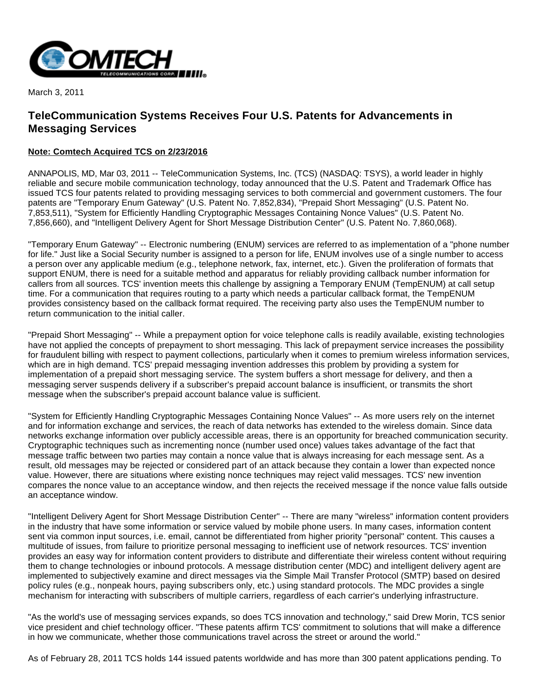

March 3, 2011

## **TeleCommunication Systems Receives Four U.S. Patents for Advancements in Messaging Services**

## **Note: Comtech Acquired TCS on 2/23/2016**

ANNAPOLIS, MD, Mar 03, 2011 -- TeleCommunication Systems, Inc. (TCS) (NASDAQ: TSYS), a world leader in highly reliable and secure mobile communication technology, today announced that the U.S. Patent and Trademark Office has issued TCS four patents related to providing messaging services to both commercial and government customers. The four patents are "Temporary Enum Gateway" (U.S. Patent No. 7,852,834), "Prepaid Short Messaging" (U.S. Patent No. 7,853,511), "System for Efficiently Handling Cryptographic Messages Containing Nonce Values" (U.S. Patent No. 7,856,660), and "Intelligent Delivery Agent for Short Message Distribution Center" (U.S. Patent No. 7,860,068).

"Temporary Enum Gateway" -- Electronic numbering (ENUM) services are referred to as implementation of a "phone number for life." Just like a Social Security number is assigned to a person for life, ENUM involves use of a single number to access a person over any applicable medium (e.g., telephone network, fax, internet, etc.). Given the proliferation of formats that support ENUM, there is need for a suitable method and apparatus for reliably providing callback number information for callers from all sources. TCS' invention meets this challenge by assigning a Temporary ENUM (TempENUM) at call setup time. For a communication that requires routing to a party which needs a particular callback format, the TempENUM provides consistency based on the callback format required. The receiving party also uses the TempENUM number to return communication to the initial caller.

"Prepaid Short Messaging" -- While a prepayment option for voice telephone calls is readily available, existing technologies have not applied the concepts of prepayment to short messaging. This lack of prepayment service increases the possibility for fraudulent billing with respect to payment collections, particularly when it comes to premium wireless information services, which are in high demand. TCS' prepaid messaging invention addresses this problem by providing a system for implementation of a prepaid short messaging service. The system buffers a short message for delivery, and then a messaging server suspends delivery if a subscriber's prepaid account balance is insufficient, or transmits the short message when the subscriber's prepaid account balance value is sufficient.

"System for Efficiently Handling Cryptographic Messages Containing Nonce Values" -- As more users rely on the internet and for information exchange and services, the reach of data networks has extended to the wireless domain. Since data networks exchange information over publicly accessible areas, there is an opportunity for breached communication security. Cryptographic techniques such as incrementing nonce (number used once) values takes advantage of the fact that message traffic between two parties may contain a nonce value that is always increasing for each message sent. As a result, old messages may be rejected or considered part of an attack because they contain a lower than expected nonce value. However, there are situations where existing nonce techniques may reject valid messages. TCS' new invention compares the nonce value to an acceptance window, and then rejects the received message if the nonce value falls outside an acceptance window.

"Intelligent Delivery Agent for Short Message Distribution Center" -- There are many "wireless" information content providers in the industry that have some information or service valued by mobile phone users. In many cases, information content sent via common input sources, i.e. email, cannot be differentiated from higher priority "personal" content. This causes a multitude of issues, from failure to prioritize personal messaging to inefficient use of network resources. TCS' invention provides an easy way for information content providers to distribute and differentiate their wireless content without requiring them to change technologies or inbound protocols. A message distribution center (MDC) and intelligent delivery agent are implemented to subjectively examine and direct messages via the Simple Mail Transfer Protocol (SMTP) based on desired policy rules (e.g., nonpeak hours, paying subscribers only, etc.) using standard protocols. The MDC provides a single mechanism for interacting with subscribers of multiple carriers, regardless of each carrier's underlying infrastructure.

"As the world's use of messaging services expands, so does TCS innovation and technology," said Drew Morin, TCS senior vice president and chief technology officer. "These patents affirm TCS' commitment to solutions that will make a difference in how we communicate, whether those communications travel across the street or around the world."

As of February 28, 2011 TCS holds 144 issued patents worldwide and has more than 300 patent applications pending. To